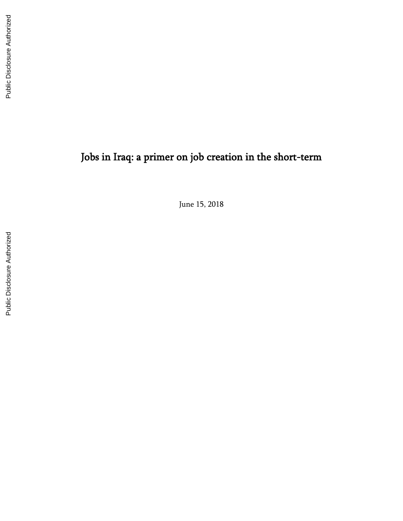# Jobs in Iraq: a primer on job creation in the short -term

June 15, 2018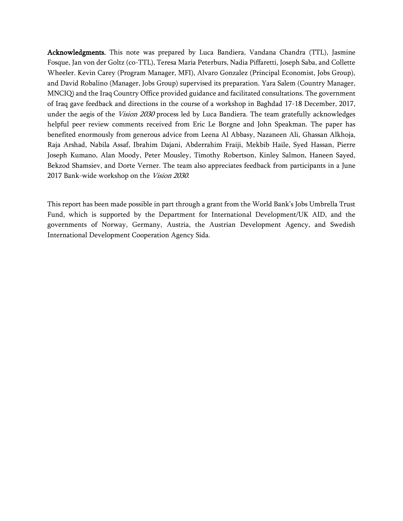Acknowledgments. This note was prepared by Luca Bandiera, Vandana Chandra (TTL), Jasmine Fosque, Jan von der Goltz (co-TTL), Teresa Maria Peterburs, Nadia Piffaretti, Joseph Saba, and Collette Wheeler. Kevin Carey (Program Manager, MFI), Alvaro Gonzalez (Principal Economist, Jobs Group), and David Robalino (Manager, Jobs Group) supervised its preparation. Yara Salem (Country Manager, MNCIQ) and the Iraq Country Office provided guidance and facilitated consultations. The government of Iraq gave feedback and directions in the course of a workshop in Baghdad 17-18 December, 2017, under the aegis of the *Vision 2030* process led by Luca Bandiera. The team gratefully acknowledges helpful peer review comments received from Eric Le Borgne and John Speakman. The paper has benefited enormously from generous advice from Leena Al Abbasy, Nazaneen Ali, Ghassan Alkhoja, Raja Arshad, Nabila Assaf, Ibrahim Dajani, Abderrahim Fraiji, Mekbib Haile, Syed Hassan, Pierre Joseph Kumano, Alan Moody, Peter Mousley, Timothy Robertson, Kinley Salmon, Haneen Sayed, Bekzod Shamsiev, and Dorte Verner. The team also appreciates feedback from participants in a June 2017 Bank-wide workshop on the Vision 2030.

This report has been made possible in part through a grant from the World Bank's Jobs Umbrella Trust Fund, which is supported by the Department for International Development/UK AID, and the governments of Norway, Germany, Austria, the Austrian Development Agency, and Swedish International Development Cooperation Agency Sida.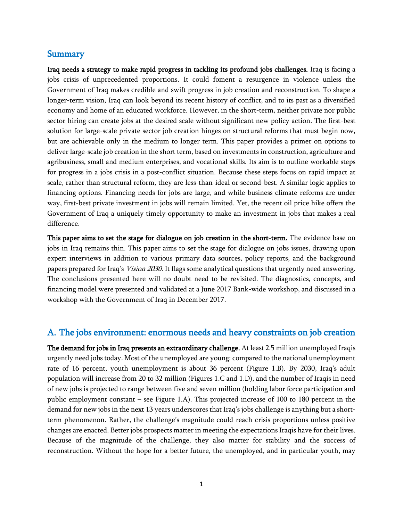## Summary

Iraq needs a strategy to make rapid progress in tackling its profound jobs challenges. Iraq is facing a jobs crisis of unprecedented proportions. It could foment a resurgence in violence unless the Government of Iraq makes credible and swift progress in job creation and reconstruction. To shape a longer-term vision, Iraq can look beyond its recent history of conflict, and to its past as a diversified economy and home of an educated workforce. However, in the short-term, neither private nor public sector hiring can create jobs at the desired scale without significant new policy action. The first-best solution for large-scale private sector job creation hinges on structural reforms that must begin now, but are achievable only in the medium to longer term. This paper provides a primer on options to deliver large-scale job creation in the short term, based on investments in construction, agriculture and agribusiness, small and medium enterprises, and vocational skills. Its aim is to outline workable steps for progress in a jobs crisis in a post-conflict situation. Because these steps focus on rapid impact at scale, rather than structural reform, they are less-than-ideal or second-best. A similar logic applies to financing options. Financing needs for jobs are large, and while business climate reforms are under way, first-best private investment in jobs will remain limited. Yet, the recent oil price hike offers the Government of Iraq a uniquely timely opportunity to make an investment in jobs that makes a real difference.

This paper aims to set the stage for dialogue on job creation in the short-term. The evidence base on jobs in Iraq remains thin. This paper aims to set the stage for dialogue on jobs issues, drawing upon expert interviews in addition to various primary data sources, policy reports, and the background papers prepared for Iraq's Vision 2030. It flags some analytical questions that urgently need answering. The conclusions presented here will no doubt need to be revisited. The diagnostics, concepts, and financing model were presented and validated at a June 2017 Bank-wide workshop, and discussed in a workshop with the Government of Iraq in December 2017.

## A. The jobs environment: enormous needs and heavy constraints on job creation

The demand for jobs in Iraq presents an extraordinary challenge. At least 2.5 million unemployed Iraqis urgently need jobs today. Most of the unemployed are young: compared to the national unemployment rate of 16 percent, youth unemployment is about 36 percent (Figure 1.B). By 2030, Iraq's adult population will increase from 20 to 32 million (Figures 1.C and 1.D), and the number of Iraqis in need of new jobs is projected to range between five and seven million (holding labor force participation and public employment constant – see Figure 1.A). This projected increase of 100 to 180 percent in the demand for new jobs in the next 13 years underscores that Iraq's jobs challenge is anything but a shortterm phenomenon. Rather, the challenge's magnitude could reach crisis proportions unless positive changes are enacted. Better jobs prospects matter in meeting the expectations Iraqis have for their lives. Because of the magnitude of the challenge, they also matter for stability and the success of reconstruction. Without the hope for a better future, the unemployed, and in particular youth, may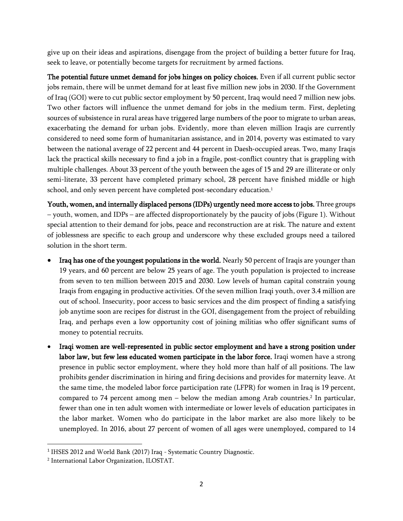give up on their ideas and aspirations, disengage from the project of building a better future for Iraq, seek to leave, or potentially become targets for recruitment by armed factions.

The potential future unmet demand for jobs hinges on policy choices. Even if all current public sector jobs remain, there will be unmet demand for at least five million new jobs in 2030. If the Government of Iraq (GOI) were to cut public sector employment by 50 percent, Iraq would need 7 million new jobs. Two other factors will influence the unmet demand for jobs in the medium term. First, depleting sources of subsistence in rural areas have triggered large numbers of the poor to migrate to urban areas, exacerbating the demand for urban jobs. Evidently, more than eleven million Iraqis are currently considered to need some form of humanitarian assistance, and in 2014, poverty was estimated to vary between the national average of 22 percent and 44 percent in Daesh‐occupied areas. Two, many Iraqis lack the practical skills necessary to find a job in a fragile, post-conflict country that is grappling with multiple challenges. About 33 percent of the youth between the ages of 15 and 29 are illiterate or only semi-literate, 33 percent have completed primary school, 28 percent have finished middle or high school, and only seven percent have completed post-secondary education.<sup>1</sup>

Youth, women, and internally displaced persons (IDPs) urgently need more access to jobs. Three groups – youth, women, and IDPs – are affected disproportionately by the paucity of jobs (Figure 1). Without special attention to their demand for jobs, peace and reconstruction are at risk. The nature and extent of joblessness are specific to each group and underscore why these excluded groups need a tailored solution in the short term.

- Iraq has one of the youngest populations in the world. Nearly 50 percent of Iraqis are younger than 19 years, and 60 percent are below 25 years of age. The youth population is projected to increase from seven to ten million between 2015 and 2030. Low levels of human capital constrain young Iraqis from engaging in productive activities. Of the seven million Iraqi youth, over 3.4 million are out of school. Insecurity, poor access to basic services and the dim prospect of finding a satisfying job anytime soon are recipes for distrust in the GOI, disengagement from the project of rebuilding Iraq, and perhaps even a low opportunity cost of joining militias who offer significant sums of money to potential recruits.
- Iraqi women are well-represented in public sector employment and have a strong position under labor law, but few less educated women participate in the labor force. Iraqi women have a strong presence in public sector employment, where they hold more than half of all positions. The law prohibits gender discrimination in hiring and firing decisions and provides for maternity leave. At the same time, the modeled labor force participation rate (LFPR) for women in Iraq is 19 percent, compared to 74 percent among men – below the median among Arab countries. 2 In particular, fewer than one in ten adult women with intermediate or lower levels of education participates in the labor market. Women who do participate in the labor market are also more likely to be unemployed. In 2016, about 27 percent of women of all ages were unemployed, compared to 14

<sup>&</sup>lt;sup>1</sup> IHSES 2012 and World Bank (2017) Iraq - Systematic Country Diagnostic.

<sup>2</sup> International Labor Organization, ILOSTAT.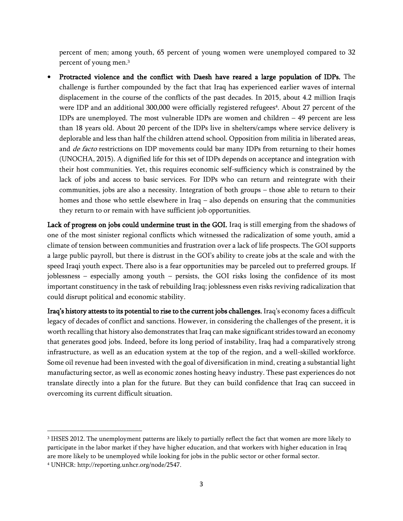percent of men; among youth, 65 percent of young women were unemployed compared to 32 percent of young men.<sup>3</sup>

• Protracted violence and the conflict with Daesh have reared a large population of IDPs. The challenge is further compounded by the fact that Iraq has experienced earlier waves of internal displacement in the course of the conflicts of the past decades. In 2015, about 4.2 million Iraqis were IDP and an additional 300,000 were officially registered refugees<sup>4</sup>. About 27 percent of the IDPs are unemployed. The most vulnerable IDPs are women and children – 49 percent are less than 18 years old. About 20 percent of the IDPs live in shelters/camps where service delivery is deplorable and less than half the children attend school. Opposition from militia in liberated areas, and *de facto* restrictions on IDP movements could bar many IDPs from returning to their homes (UNOCHA, 2015). A dignified life for this set of IDPs depends on acceptance and integration with their host communities. Yet, this requires economic self-sufficiency which is constrained by the lack of jobs and access to basic services. For IDPs who can return and reintegrate with their communities, jobs are also a necessity. Integration of both groups – those able to return to their homes and those who settle elsewhere in Iraq - also depends on ensuring that the communities they return to or remain with have sufficient job opportunities.

Lack of progress on jobs could undermine trust in the GOI. Iraq is still emerging from the shadows of one of the most sinister regional conflicts which witnessed the radicalization of some youth, amid a climate of tension between communities and frustration over a lack of life prospects. The GOI supports a large public payroll, but there is distrust in the GOI's ability to create jobs at the scale and with the speed Iraqi youth expect. There also is a fear opportunities may be parceled out to preferred groups. If joblessness – especially among youth – persists, the GOI risks losing the confidence of its most important constituency in the task of rebuilding Iraq; joblessness even risks reviving radicalization that could disrupt political and economic stability.

Iraq's history attests to its potential to rise to the current jobs challenges. Iraq's economy faces a difficult legacy of decades of conflict and sanctions. However, in considering the challenges of the present, it is worth recalling that history also demonstrates that Iraq can make significant strides toward an economy that generates good jobs. Indeed, before its long period of instability, Iraq had a comparatively strong infrastructure, as well as an education system at the top of the region, and a well-skilled workforce. Some oil revenue had been invested with the goal of diversification in mind, creating a substantial light manufacturing sector, as well as economic zones hosting heavy industry. These past experiences do not translate directly into a plan for the future. But they can build confidence that Iraq can succeed in overcoming its current difficult situation.

l

<sup>3</sup> IHSES 2012. The unemployment patterns are likely to partially reflect the fact that women are more likely to participate in the labor market if they have higher education, and that workers with higher education in Iraq are more likely to be unemployed while looking for jobs in the public sector or other formal sector. <sup>4</sup> UNHCR: http://reporting.unhcr.org/node/2547.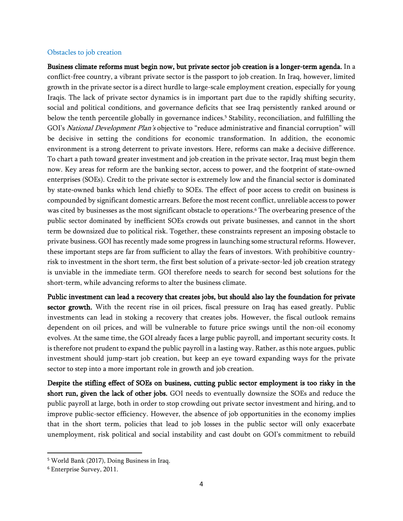#### Obstacles to job creation

Business climate reforms must begin now, but private sector job creation is a longer-term agenda. In a conflict-free country, a vibrant private sector is the passport to job creation. In Iraq, however, limited growth in the private sector is a direct hurdle to large-scale employment creation, especially for young Iraqis. The lack of private sector dynamics is in important part due to the rapidly shifting security, social and political conditions, and governance deficits that see Iraq persistently ranked around or below the tenth percentile globally in governance indices.<sup>5</sup> Stability, reconciliation, and fulfilling the GOI's *National Development Plan's* objective to "reduce administrative and financial corruption" will be decisive in setting the conditions for economic transformation. In addition, the economic environment is a strong deterrent to private investors. Here, reforms can make a decisive difference. To chart a path toward greater investment and job creation in the private sector, Iraq must begin them now. Key areas for reform are the banking sector, access to power, and the footprint of state-owned enterprises (SOEs). Credit to the private sector is extremely low and the financial sector is dominated by state-owned banks which lend chiefly to SOEs. The effect of poor access to credit on business is compounded by significant domestic arrears. Before the most recent conflict, unreliable access to power was cited by businesses as the most significant obstacle to operations.<sup>6</sup> The overbearing presence of the public sector dominated by inefficient SOEs crowds out private businesses, and cannot in the short term be downsized due to political risk. Together, these constraints represent an imposing obstacle to private business. GOI has recently made some progress in launching some structural reforms. However, these important steps are far from sufficient to allay the fears of investors. With prohibitive countryrisk to investment in the short term, the first best solution of a private-sector-led job creation strategy is unviable in the immediate term. GOI therefore needs to search for second best solutions for the short-term, while advancing reforms to alter the business climate.

Public investment can lead a recovery that creates jobs, but should also lay the foundation for private sector growth. With the recent rise in oil prices, fiscal pressure on Iraq has eased greatly. Public investments can lead in stoking a recovery that creates jobs. However, the fiscal outlook remains dependent on oil prices, and will be vulnerable to future price swings until the non-oil economy evolves. At the same time, the GOI already faces a large public payroll, and important security costs. It is therefore not prudent to expand the public payroll in a lasting way. Rather, as this note argues, public investment should jump-start job creation, but keep an eye toward expanding ways for the private sector to step into a more important role in growth and job creation.

Despite the stifling effect of SOEs on business, cutting public sector employment is too risky in the short run, given the lack of other jobs. GOI needs to eventually downsize the SOEs and reduce the public payroll at large, both in order to stop crowding out private sector investment and hiring, and to improve public-sector efficiency. However, the absence of job opportunities in the economy implies that in the short term, policies that lead to job losses in the public sector will only exacerbate unemployment, risk political and social instability and cast doubt on GOI's commitment to rebuild

<sup>5</sup> World Bank (2017), Doing Business in Iraq.

<sup>6</sup> Enterprise Survey, 2011.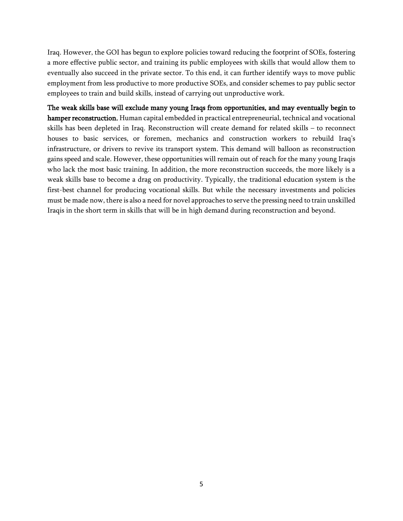Iraq. However, the GOI has begun to explore policies toward reducing the footprint of SOEs, fostering a more effective public sector, and training its public employees with skills that would allow them to eventually also succeed in the private sector. To this end, it can further identify ways to move public employment from less productive to more productive SOEs, and consider schemes to pay public sector employees to train and build skills, instead of carrying out unproductive work.

The weak skills base will exclude many young Iraqs from opportunities, and may eventually begin to hamper reconstruction. Human capital embedded in practical entrepreneurial, technical and vocational skills has been depleted in Iraq. Reconstruction will create demand for related skills – to reconnect houses to basic services, or foremen, mechanics and construction workers to rebuild Iraq's infrastructure, or drivers to revive its transport system. This demand will balloon as reconstruction gains speed and scale. However, these opportunities will remain out of reach for the many young Iraqis who lack the most basic training. In addition, the more reconstruction succeeds, the more likely is a weak skills base to become a drag on productivity. Typically, the traditional education system is the first-best channel for producing vocational skills. But while the necessary investments and policies must be made now, there is also a need for novel approaches to serve the pressing need to train unskilled Iraqis in the short term in skills that will be in high demand during reconstruction and beyond.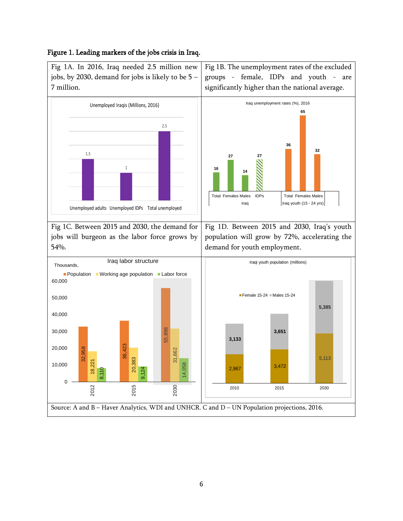### Figure 1. Leading markers of the jobs crisis in Iraq.

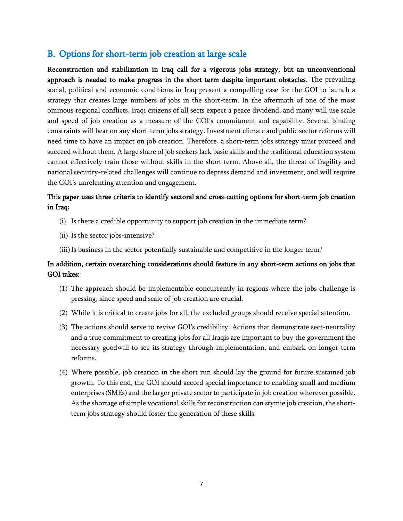## B. Options for short-term job creation at large scale

Reconstruction and stabilization in Iraq call for a vigorous jobs strategy, but an unconventional approach is needed to make progress in the short term despite important obstacles. The prevailing social, political and economic conditions in Iraq present a compelling case for the GOI to launch a strategy that creates large numbers of jobs in the short-term. In the aftermath of one of the most ominous regional conflicts, Iraqi citizens of all sects expect a peace dividend, and many will use scale and speed of job creation as a measure of the GOI's commitment and capability. Several binding constraints will bear on any short-term jobs strategy. Investment climate and public sector reforms will need time to have an impact on job creation. Therefore, a short-term jobs strategy must proceed and succeed without them. A large share of job seekers lack basic skills and the traditional education system cannot effectively train those without skills in the short term. Above all, the threat of fragility and national security-related challenges will continue to depress demand and investment, and will require the GOI's unrelenting attention and engagement.

## This paper uses three criteria to identify sectoral and cross-cutting options for short-term job creation in Iraq:

- (i) Is there a credible opportunity to support job creation in the immediate term?
- (ii) Is the sector jobs-intensive?
- (iii) Is business in the sector potentially sustainable and competitive in the longer term?

## In addition, certain overarching considerations should feature in any short-term actions on jobs that GOI takes:

- (1) The approach should be implementable concurrently in regions where the jobs challenge is pressing, since speed and scale of job creation are crucial.
- (2) While it is critical to create jobs for all, the excluded groups should receive special attention.
- (3) The actions should serve to revive GOI's credibility. Actions that demonstrate sect-neutrality and a true commitment to creating jobs for all Iraqis are important to buy the government the necessary goodwill to see its strategy through implementation, and embark on longer-term reforms.
- (4) Where possible, job creation in the short run should lay the ground for future sustained job growth. To this end, the GOI should accord special importance to enabling small and medium enterprises (SMEs) and the larger private sector to participate in job creation wherever possible. As the shortage of simple vocational skills for reconstruction can stymie job creation, the shortterm jobs strategy should foster the generation of these skills.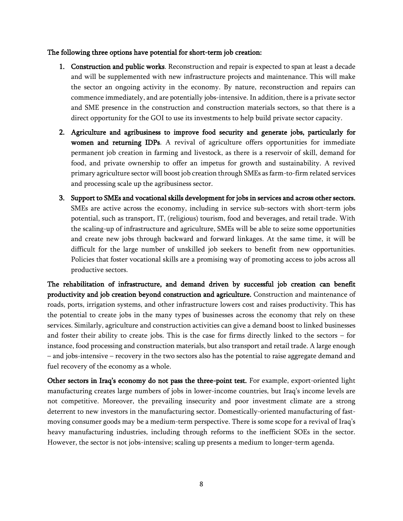#### The following three options have potential for short-term job creation:

- 1. Construction and public works. Reconstruction and repair is expected to span at least a decade and will be supplemented with new infrastructure projects and maintenance. This will make the sector an ongoing activity in the economy. By nature, reconstruction and repairs can commence immediately, and are potentially jobs-intensive. In addition, there is a private sector and SME presence in the construction and construction materials sectors, so that there is a direct opportunity for the GOI to use its investments to help build private sector capacity.
- 2. Agriculture and agribusiness to improve food security and generate jobs, particularly for women and returning IDPs. A revival of agriculture offers opportunities for immediate permanent job creation in farming and livestock, as there is a reservoir of skill, demand for food, and private ownership to offer an impetus for growth and sustainability. A revived primary agriculture sector will boost job creation through SMEs as farm-to-firm related services and processing scale up the agribusiness sector.
- 3. Support to SMEs and vocational skills development for jobs in services and across other sectors. SMEs are active across the economy, including in service sub-sectors with short-term jobs potential, such as transport, IT, (religious) tourism, food and beverages, and retail trade. With the scaling-up of infrastructure and agriculture, SMEs will be able to seize some opportunities and create new jobs through backward and forward linkages. At the same time, it will be difficult for the large number of unskilled job seekers to benefit from new opportunities. Policies that foster vocational skills are a promising way of promoting access to jobs across all productive sectors.

The rehabilitation of infrastructure, and demand driven by successful job creation can benefit productivity and job creation beyond construction and agriculture. Construction and maintenance of roads, ports, irrigation systems, and other infrastructure lowers cost and raises productivity. This has the potential to create jobs in the many types of businesses across the economy that rely on these services. Similarly, agriculture and construction activities can give a demand boost to linked businesses and foster their ability to create jobs. This is the case for firms directly linked to the sectors – for instance, food processing and construction materials, but also transport and retail trade. A large enough – and jobs-intensive – recovery in the two sectors also has the potential to raise aggregate demand and fuel recovery of the economy as a whole.

Other sectors in Iraq's economy do not pass the three-point test. For example, export-oriented light manufacturing creates large numbers of jobs in lower-income countries, but Iraq's income levels are not competitive. Moreover, the prevailing insecurity and poor investment climate are a strong deterrent to new investors in the manufacturing sector. Domestically-oriented manufacturing of fastmoving consumer goods may be a medium-term perspective. There is some scope for a revival of Iraq's heavy manufacturing industries, including through reforms to the inefficient SOEs in the sector. However, the sector is not jobs-intensive; scaling up presents a medium to longer-term agenda.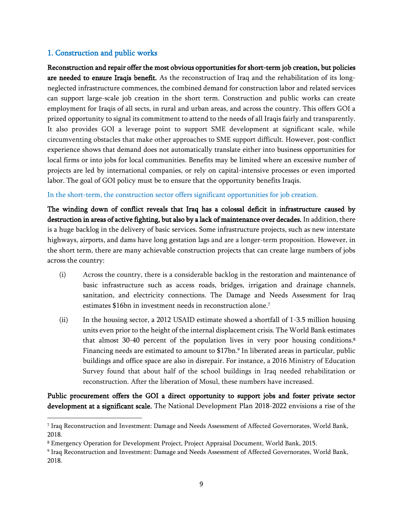## 1. Construction and public works

 $\overline{a}$ 

Reconstruction and repair offer the most obvious opportunities for short-term job creation, but policies are needed to ensure Iraqis benefit. As the reconstruction of Iraq and the rehabilitation of its longneglected infrastructure commences, the combined demand for construction labor and related services can support large-scale job creation in the short term. Construction and public works can create employment for Iraqis of all sects, in rural and urban areas, and across the country. This offers GOI a prized opportunity to signal its commitment to attend to the needs of all Iraqis fairly and transparently. It also provides GOI a leverage point to support SME development at significant scale, while circumventing obstacles that make other approaches to SME support difficult. However, post-conflict experience shows that demand does not automatically translate either into business opportunities for local firms or into jobs for local communities. Benefits may be limited where an excessive number of projects are led by international companies, or rely on capital-intensive processes or even imported labor. The goal of GOI policy must be to ensure that the opportunity benefits Iraqis.

#### In the short-term, the construction sector offers significant opportunities for job creation.

The winding down of conflict reveals that Iraq has a colossal deficit in infrastructure caused by destruction in areas of active fighting, but also by a lack of maintenance over decades. In addition, there is a huge backlog in the delivery of basic services. Some infrastructure projects, such as new interstate highways, airports, and dams have long gestation lags and are a longer-term proposition. However, in the short term, there are many achievable construction projects that can create large numbers of jobs across the country:

- (i) Across the country, there is a considerable backlog in the restoration and maintenance of basic infrastructure such as access roads, bridges, irrigation and drainage channels, sanitation, and electricity connections. The Damage and Needs Assessment for Iraq estimates \$16bn in investment needs in reconstruction alone. 7
- (ii) In the housing sector, a 2012 USAID estimate showed a shortfall of 1-3.5 million housing units even prior to the height of the internal displacement crisis. The World Bank estimates that almost 30-40 percent of the population lives in very poor housing conditions. 8 Financing needs are estimated to amount to \$17bn. 9 In liberated areas in particular, public buildings and office space are also in disrepair. For instance, a 2016 Ministry of Education Survey found that about half of the school buildings in Iraq needed rehabilitation or reconstruction. After the liberation of Mosul, these numbers have increased.

Public procurement offers the GOI a direct opportunity to support jobs and foster private sector development at a significant scale. The National Development Plan 2018-2022 envisions a rise of the

<sup>7</sup> Iraq Reconstruction and Investment: Damage and Needs Assessment of Affected Governorates, World Bank, 2018.

<sup>8</sup> Emergency Operation for Development Project, Project Appraisal Document, World Bank, 2015.

<sup>9</sup> Iraq Reconstruction and Investment: Damage and Needs Assessment of Affected Governorates, World Bank, 2018.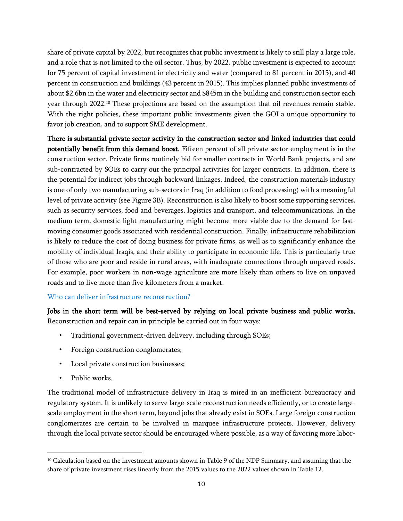share of private capital by 2022, but recognizes that public investment is likely to still play a large role, and a role that is not limited to the oil sector. Thus, by 2022, public investment is expected to account for 75 percent of capital investment in electricity and water (compared to 81 percent in 2015), and 40 percent in construction and buildings (43 percent in 2015). This implies planned public investments of about \$2.6bn in the water and electricity sector and \$845m in the building and construction sector each year through 2022.<sup>10</sup> These projections are based on the assumption that oil revenues remain stable. With the right policies, these important public investments given the GOI a unique opportunity to favor job creation, and to support SME development.

There is substantial private sector activity in the construction sector and linked industries that could potentially benefit from this demand boost. Fifteen percent of all private sector employment is in the construction sector. Private firms routinely bid for smaller contracts in World Bank projects, and are sub-contracted by SOEs to carry out the principal activities for larger contracts. In addition, there is the potential for indirect jobs through backward linkages. Indeed, the construction materials industry is one of only two manufacturing sub-sectors in Iraq (in addition to food processing) with a meaningful level of private activity (see Figure 3B). Reconstruction is also likely to boost some supporting services, such as security services, food and beverages, logistics and transport, and telecommunications. In the medium term, domestic light manufacturing might become more viable due to the demand for fastmoving consumer goods associated with residential construction. Finally, infrastructure rehabilitation is likely to reduce the cost of doing business for private firms, as well as to significantly enhance the mobility of individual Iraqis, and their ability to participate in economic life. This is particularly true of those who are poor and reside in rural areas, with inadequate connections through unpaved roads. For example, poor workers in non-wage agriculture are more likely than others to live on unpaved roads and to live more than five kilometers from a market.

#### Who can deliver infrastructure reconstruction?

Jobs in the short term will be best-served by relying on local private business and public works. Reconstruction and repair can in principle be carried out in four ways:

- Traditional government-driven delivery, including through SOEs;
- Foreign construction conglomerates;
- Local private construction businesses;
- Public works.

 $\overline{\phantom{a}}$ 

The traditional model of infrastructure delivery in Iraq is mired in an inefficient bureaucracy and regulatory system. It is unlikely to serve large-scale reconstruction needs efficiently, or to create largescale employment in the short term, beyond jobs that already exist in SOEs. Large foreign construction conglomerates are certain to be involved in marquee infrastructure projects. However, delivery through the local private sector should be encouraged where possible, as a way of favoring more labor-

 $10$  Calculation based on the investment amounts shown in Table 9 of the NDP Summary, and assuming that the share of private investment rises linearly from the 2015 values to the 2022 values shown in Table 12.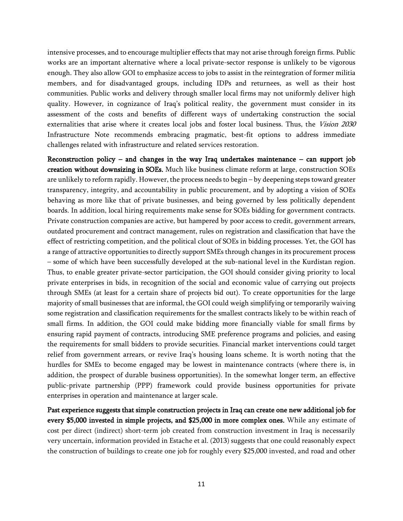intensive processes, and to encourage multiplier effects that may not arise through foreign firms. Public works are an important alternative where a local private-sector response is unlikely to be vigorous enough. They also allow GOI to emphasize access to jobs to assist in the reintegration of former militia members, and for disadvantaged groups, including IDPs and returnees, as well as their host communities. Public works and delivery through smaller local firms may not uniformly deliver high quality. However, in cognizance of Iraq's political reality, the government must consider in its assessment of the costs and benefits of different ways of undertaking construction the social externalities that arise where it creates local jobs and foster local business. Thus, the *Vision 2030* Infrastructure Note recommends embracing pragmatic, best-fit options to address immediate challenges related with infrastructure and related services restoration.

Reconstruction policy – and changes in the way Iraq undertakes maintenance – can support job creation without downsizing in SOEs. Much like business climate reform at large, construction SOEs are unlikely to reform rapidly. However, the process needs to begin – by deepening steps toward greater transparency, integrity, and accountability in public procurement, and by adopting a vision of SOEs behaving as more like that of private businesses, and being governed by less politically dependent boards. In addition, local hiring requirements make sense for SOEs bidding for government contracts. Private construction companies are active, but hampered by poor access to credit, government arrears, outdated procurement and contract management, rules on registration and classification that have the effect of restricting competition, and the political clout of SOEs in bidding processes. Yet, the GOI has a range of attractive opportunities to directly support SMEs through changes in its procurement process – some of which have been successfully developed at the sub-national level in the Kurdistan region. Thus, to enable greater private-sector participation, the GOI should consider giving priority to local private enterprises in bids, in recognition of the social and economic value of carrying out projects through SMEs (at least for a certain share of projects bid out). To create opportunities for the large majority of small businesses that are informal, the GOI could weigh simplifying or temporarily waiving some registration and classification requirements for the smallest contracts likely to be within reach of small firms. In addition, the GOI could make bidding more financially viable for small firms by ensuring rapid payment of contracts, introducing SME preference programs and policies, and easing the requirements for small bidders to provide securities. Financial market interventions could target relief from government arrears, or revive Iraq's housing loans scheme. It is worth noting that the hurdles for SMEs to become engaged may be lowest in maintenance contracts (where there is, in addition, the prospect of durable business opportunities). In the somewhat longer term, an effective public-private partnership (PPP) framework could provide business opportunities for private enterprises in operation and maintenance at larger scale.

Past experience suggests that simple construction projects in Iraq can create one new additional job for every \$5,000 invested in simple projects, and \$25,000 in more complex ones. While any estimate of cost per direct (indirect) short-term job created from construction investment in Iraq is necessarily very uncertain, information provided in Estache et al. (2013) suggests that one could reasonably expect the construction of buildings to create one job for roughly every \$25,000 invested, and road and other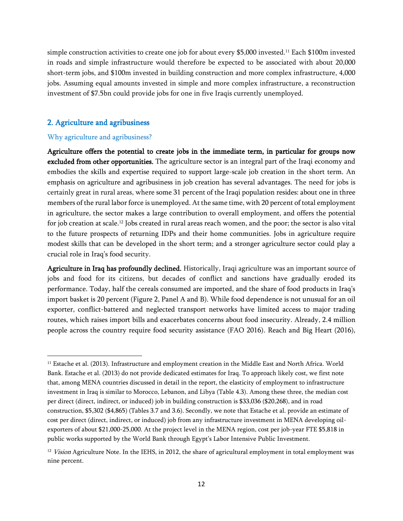simple construction activities to create one job for about every \$5,000 invested. <sup>11</sup> Each \$100m invested in roads and simple infrastructure would therefore be expected to be associated with about 20,000 short-term jobs, and \$100m invested in building construction and more complex infrastructure, 4,000 jobs. Assuming equal amounts invested in simple and more complex infrastructure, a reconstruction investment of \$7.5bn could provide jobs for one in five Iraqis currently unemployed.

#### 2. Agriculture and agribusiness

#### Why agriculture and agribusiness?

 $\overline{\phantom{a}}$ 

Agriculture offers the potential to create jobs in the immediate term, in particular for groups now excluded from other opportunities. The agriculture sector is an integral part of the Iraqi economy and embodies the skills and expertise required to support large-scale job creation in the short term. An emphasis on agriculture and agribusiness in job creation has several advantages. The need for jobs is certainly great in rural areas, where some 31 percent of the Iraqi population resides: about one in three members of the rural labor force is unemployed. At the same time, with 20 percent of total employment in agriculture, the sector makes a large contribution to overall employment, and offers the potential for job creation at scale.<sup>12</sup> Jobs created in rural areas reach women, and the poor; the sector is also vital to the future prospects of returning IDPs and their home communities. Jobs in agriculture require modest skills that can be developed in the short term; and a stronger agriculture sector could play a crucial role in Iraq's food security.

Agriculture in Iraq has profoundly declined. Historically, Iraqi agriculture was an important source of jobs and food for its citizens, but decades of conflict and sanctions have gradually eroded its performance. Today, half the cereals consumed are imported, and the share of food products in Iraq's import basket is 20 percent (Figure 2, Panel A and B). While food dependence is not unusual for an oil exporter, conflict-battered and neglected transport networks have limited access to major trading routes, which raises import bills and exacerbates concerns about food insecurity. Already, 2.4 million people across the country require food security assistance (FAO 2016). Reach and Big Heart (2016),

<sup>&</sup>lt;sup>11</sup> Estache et al. (2013). Infrastructure and employment creation in the Middle East and North Africa. World Bank. Estache et al. (2013) do not provide dedicated estimates for Iraq. To approach likely cost, we first note that, among MENA countries discussed in detail in the report, the elasticity of employment to infrastructure investment in Iraq is similar to Morocco, Lebanon, and Libya (Table 4.3). Among these three, the median cost per direct (direct, indirect, or induced) job in building construction is \$33,036 (\$20,268), and in road construction, \$5,302 (\$4,865) (Tables 3.7 and 3.6). Secondly, we note that Estache et al. provide an estimate of cost per direct (direct, indirect, or induced) job from any infrastructure investment in MENA developing oilexporters of about \$21,000-25,000. At the project level in the MENA region, cost per job-year FTE \$5,818 in public works supported by the World Bank through Egypt's Labor Intensive Public Investment.

 $12$  Vision Agriculture Note. In the IEHS, in 2012, the share of agricultural employment in total employment was nine percent.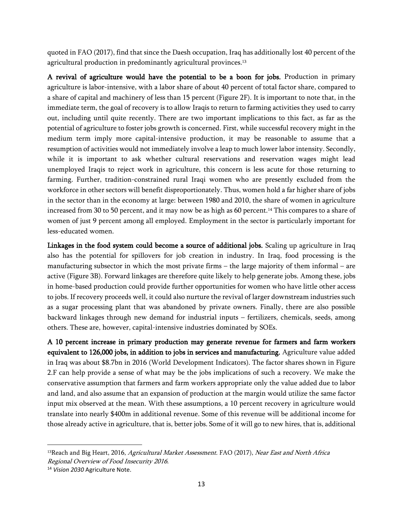quoted in FAO (2017), find that since the Daesh occupation, Iraq has additionally lost 40 percent of the agricultural production in predominantly agricultural provinces. 13

A revival of agriculture would have the potential to be a boon for jobs. Production in primary agriculture is labor-intensive, with a labor share of about 40 percent of total factor share, compared to a share of capital and machinery of less than 15 percent (Figure 2F). It is important to note that, in the immediate term, the goal of recovery is to allow Iraqis to return to farming activities they used to carry out, including until quite recently. There are two important implications to this fact, as far as the potential of agriculture to foster jobs growth is concerned. First, while successful recovery might in the medium term imply more capital-intensive production, it may be reasonable to assume that a resumption of activities would not immediately involve a leap to much lower labor intensity. Secondly, while it is important to ask whether cultural reservations and reservation wages might lead unemployed Iraqis to reject work in agriculture, this concern is less acute for those returning to farming. Further, tradition-constrained rural Iraqi women who are presently excluded from the workforce in other sectors will benefit disproportionately. Thus, women hold a far higher share of jobs in the sector than in the economy at large: between 1980 and 2010, the share of women in agriculture increased from 30 to 50 percent, and it may now be as high as 60 percent.<sup>14</sup> This compares to a share of women of just 9 percent among all employed. Employment in the sector is particularly important for less-educated women.

Linkages in the food system could become a source of additional jobs. Scaling up agriculture in Iraq also has the potential for spillovers for job creation in industry. In Iraq, food processing is the manufacturing subsector in which the most private firms – the large majority of them informal – are active (Figure 3B). Forward linkages are therefore quite likely to help generate jobs. Among these, jobs in home-based production could provide further opportunities for women who have little other access to jobs. If recovery proceeds well, it could also nurture the revival of larger downstream industries such as a sugar processing plant that was abandoned by private owners. Finally, there are also possible backward linkages through new demand for industrial inputs – fertilizers, chemicals, seeds, among others. These are, however, capital-intensive industries dominated by SOEs.

A 10 percent increase in primary production may generate revenue for farmers and farm workers equivalent to 126,000 jobs, in addition to jobs in services and manufacturing. Agriculture value added in Iraq was about \$8.7bn in 2016 (World Development Indicators). The factor shares shown in Figure 2.F can help provide a sense of what may be the jobs implications of such a recovery. We make the conservative assumption that farmers and farm workers appropriate only the value added due to labor and land, and also assume that an expansion of production at the margin would utilize the same factor input mix observed at the mean. With these assumptions, a 10 percent recovery in agriculture would translate into nearly \$400m in additional revenue. Some of this revenue will be additional income for those already active in agriculture, that is, better jobs. Some of it will go to new hires, that is, additional

<sup>&</sup>lt;sup>13</sup>Reach and Big Heart, 2016, Agricultural Market Assessment. FAO (2017), Near East and North Africa Regional Overview of Food Insecurity 2016.

<sup>14</sup> *Vision 2030* Agriculture Note.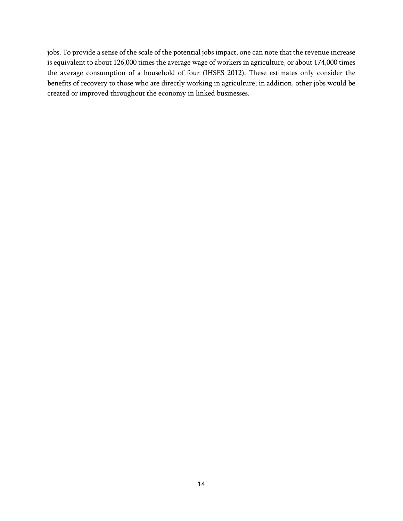jobs. To provide a sense of the scale of the potential jobs impact, one can note that the revenue increase is equivalent to about 126,000 times the average wage of workers in agriculture, or about 174,000 times the average consumption of a household of four (IHSES 2012). These estimates only consider the benefits of recovery to those who are directly working in agriculture; in addition, other jobs would be created or improved throughout the economy in linked businesses.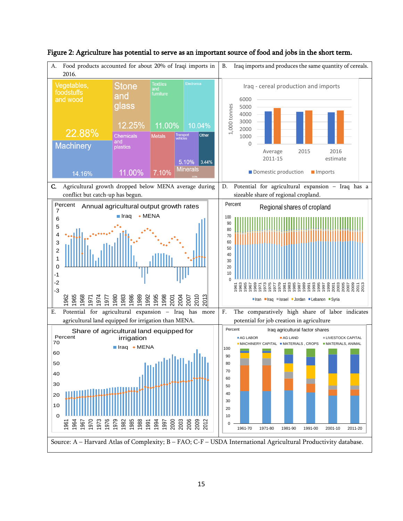

Figure 2: Agriculture has potential to serve as an important source of food and jobs in the short term.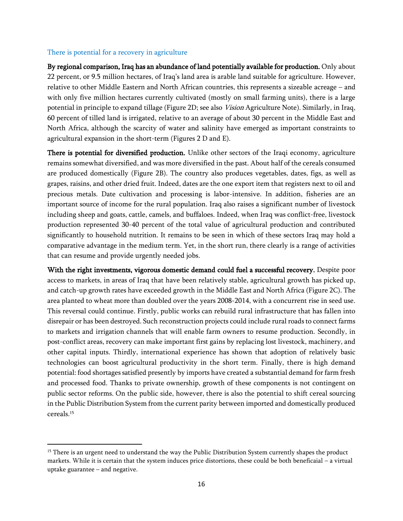#### There is potential for a recovery in agriculture

l

By regional comparison, Iraq has an abundance of land potentially available for production. Only about 22 percent, or 9.5 million hectares, of Iraq's land area is arable land suitable for agriculture. However, relative to other Middle Eastern and North African countries, this represents a sizeable acreage – and with only five million hectares currently cultivated (mostly on small farming units), there is a large potential in principle to expand tillage (Figure 2D; see also Vision Agriculture Note). Similarly, in Iraq, 60 percent of tilled land is irrigated, relative to an average of about 30 percent in the Middle East and North Africa, although the scarcity of water and salinity have emerged as important constraints to agricultural expansion in the short-term (Figures 2 D and E).

There is potential for diversified production. Unlike other sectors of the Iraqi economy, agriculture remains somewhat diversified, and was more diversified in the past. About half of the cereals consumed are produced domestically (Figure 2B). The country also produces vegetables, dates, figs, as well as grapes, raisins, and other dried fruit. Indeed, dates are the one export item that registers next to oil and precious metals. Date cultivation and processing is labor-intensive. In addition, fisheries are an important source of income for the rural population. Iraq also raises a significant number of livestock including sheep and goats, cattle, camels, and buffaloes. Indeed, when Iraq was conflict-free, livestock production represented 30-40 percent of the total value of agricultural production and contributed significantly to household nutrition. It remains to be seen in which of these sectors Iraq may hold a comparative advantage in the medium term. Yet, in the short run, there clearly is a range of activities that can resume and provide urgently needed jobs.

With the right investments, vigorous domestic demand could fuel a successful recovery. Despite poor access to markets, in areas of Iraq that have been relatively stable, agricultural growth has picked up, and catch-up growth rates have exceeded growth in the Middle East and North Africa (Figure 2C). The area planted to wheat more than doubled over the years 2008-2014, with a concurrent rise in seed use. This reversal could continue. Firstly, public works can rebuild rural infrastructure that has fallen into disrepair or has been destroyed. Such reconstruction projects could include rural roads to connect farms to markets and irrigation channels that will enable farm owners to resume production. Secondly, in post-conflict areas, recovery can make important first gains by replacing lost livestock, machinery, and other capital inputs. Thirdly, international experience has shown that adoption of relatively basic technologies can boost agricultural productivity in the short term. Finally, there is high demand potential: food shortages satisfied presently by imports have created a substantial demand for farm fresh and processed food. Thanks to private ownership, growth of these components is not contingent on public sector reforms. On the public side, however, there is also the potential to shift cereal sourcing in the Public Distribution System from the current parity between imported and domestically produced cereals.<sup>15</sup>

<sup>&</sup>lt;sup>15</sup> There is an urgent need to understand the way the Public Distribution System currently shapes the product markets. While it is certain that the system induces price distortions, these could be both beneficaial – a virtual uptake guarantee – and negative.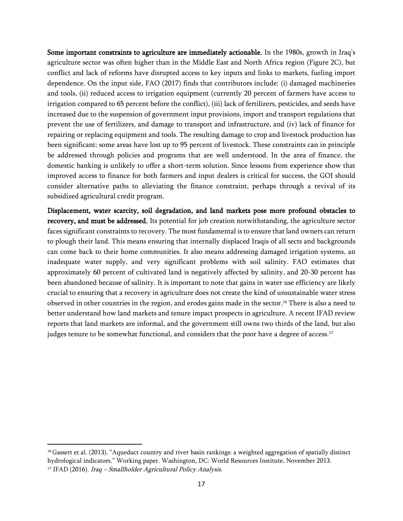Some important constraints to agriculture are immediately actionable. In the 1980s, growth in Iraq's agriculture sector was often higher than in the Middle East and North Africa region (Figure 2C), but conflict and lack of reforms have disrupted access to key inputs and links to markets, fueling import dependence. On the input side, FAO (2017) finds that contributors include: (i) damaged machineries and tools, (ii) reduced access to irrigation equipment (currently 20 percent of farmers have access to irrigation compared to 65 percent before the conflict), (iii) lack of fertilizers, pesticides, and seeds have increased due to the suspension of government input provisions, import and transport regulations that prevent the use of fertilizers, and damage to transport and infrastructure, and (iv) lack of finance for repairing or replacing equipment and tools. The resulting damage to crop and livestock production has been significant: some areas have lost up to 95 percent of livestock. These constraints can in principle be addressed through policies and programs that are well understood. In the area of finance, the domestic banking is unlikely to offer a short-term solution. Since lessons from experience show that improved access to finance for both farmers and input dealers is critical for success, the GOI should consider alternative paths to alleviating the finance constraint, perhaps through a revival of its subsidized agricultural credit program.

Displacement, water scarcity, soil degradation, and land markets pose more profound obstacles to recovery, and must be addressed. Its potential for job creation notwithstanding, the agriculture sector faces significant constraints to recovery. The most fundamental is to ensure that land owners can return to plough their land. This means ensuring that internally displaced Iraqis of all sects and backgrounds can come back to their home communities. It also means addressing damaged irrigation systems, an inadequate water supply, and very significant problems with soil salinity. FAO estimates that approximately 60 percent of cultivated land is negatively affected by salinity, and 20-30 percent has been abandoned because of salinity. It is important to note that gains in water use efficiency are likely crucial to ensuring that a recovery in agriculture does not create the kind of unsustainable water stress observed in other countries in the region, and erodes gains made in the sector. <sup>16</sup> There is also a need to better understand how land markets and tenure impact prospects in agriculture. A recent IFAD review reports that land markets are informal, and the government still owns two thirds of the land, but also judges tenure to be somewhat functional, and considers that the poor have a degree of access.<sup>17</sup>

l

<sup>&</sup>lt;sup>16</sup> Gassert et al. (2013). "Aqueduct country and river basin rankings: a weighted aggregation of spatially distinct hydrological indicators." Working paper. Washington, DC: World Resources Institute, November 2013. <sup>17</sup> IFAD (2016). Iraq - Smallholder Agricultural Policy Analysis.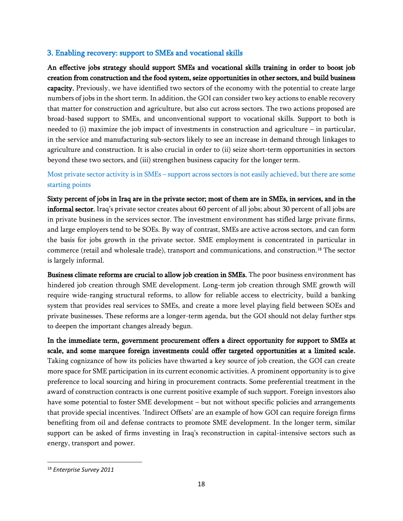## 3. Enabling recovery: support to SMEs and vocational skills

An effective jobs strategy should support SMEs and vocational skills training in order to boost job creation from construction and the food system, seize opportunities in other sectors, and build business capacity. Previously, we have identified two sectors of the economy with the potential to create large numbers of jobs in the short term. In addition, the GOI can consider two key actions to enable recovery that matter for construction and agriculture, but also cut across sectors. The two actions proposed are broad-based support to SMEs, and unconventional support to vocational skills. Support to both is needed to (i) maximize the job impact of investments in construction and agriculture – in particular, in the service and manufacturing sub-sectors likely to see an increase in demand through linkages to agriculture and construction. It is also crucial in order to (ii) seize short-term opportunities in sectors beyond these two sectors, and (iii) strengthen business capacity for the longer term.

## Most private sector activity is in SMEs – support across sectors is not easily achieved, but there are some starting points

Sixty percent of jobs in Iraq are in the private sector; most of them are in SMEs, in services, and in the informal sector. Iraq's private sector creates about 60 percent of all jobs; about 30 percent of all jobs are in private business in the services sector. The investment environment has stifled large private firms, and large employers tend to be SOEs. By way of contrast, SMEs are active across sectors, and can form the basis for jobs growth in the private sector. SME employment is concentrated in particular in commerce (retail and wholesale trade), transport and communications, and construction.<sup>18</sup> The sector is largely informal.

Business climate reforms are crucial to allow job creation in SMEs. The poor business environment has hindered job creation through SME development. Long-term job creation through SME growth will require wide-ranging structural reforms, to allow for reliable access to electricity, build a banking system that provides real services to SMEs, and create a more level playing field between SOEs and private businesses. These reforms are a longer-term agenda, but the GOI should not delay further stps to deepen the important changes already begun.

In the immediate term, government procurement offers a direct opportunity for support to SMEs at scale, and some marquee foreign investments could offer targeted opportunities at a limited scale. Taking cognizance of how its policies have thwarted a key source of job creation, the GOI can create more space for SME participation in its current economic activities. A prominent opportunity is to give preference to local sourcing and hiring in procurement contracts. Some preferential treatment in the award of construction contracts is one current positive example of such support. Foreign investors also have some potential to foster SME development – but not without specific policies and arrangements that provide special incentives. 'Indirect Offsets' are an example of how GOI can require foreign firms benefiting from oil and defense contracts to promote SME development. In the longer term, similar support can be asked of firms investing in Iraq's reconstruction in capital-intensive sectors such as energy, transport and power.

<sup>18</sup> *Enterprise Survey 2011*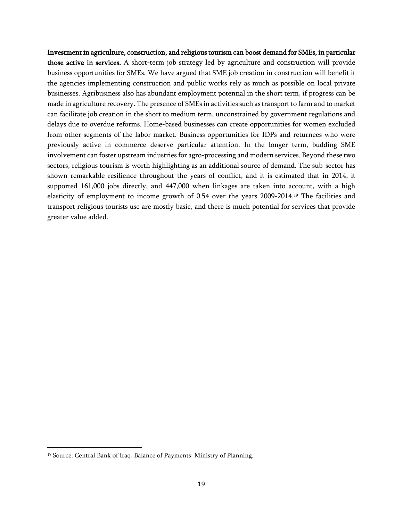Investment in agriculture, construction, and religious tourism can boost demand for SMEs, in particular those active in services. A short-term job strategy led by agriculture and construction will provide business opportunities for SMEs. We have argued that SME job creation in construction will benefit it the agencies implementing construction and public works rely as much as possible on local private businesses. Agribusiness also has abundant employment potential in the short term, if progress can be made in agriculture recovery. The presence of SMEs in activities such as transport to farm and to market can facilitate job creation in the short to medium term, unconstrained by government regulations and delays due to overdue reforms. Home-based businesses can create opportunities for women excluded from other segments of the labor market. Business opportunities for IDPs and returnees who were previously active in commerce deserve particular attention. In the longer term, budding SME involvement can foster upstream industries for agro-processing and modern services. Beyond these two sectors, religious tourism is worth highlighting as an additional source of demand. The sub-sector has shown remarkable resilience throughout the years of conflict, and it is estimated that in 2014, it supported 161,000 jobs directly, and 447,000 when linkages are taken into account, with a high elasticity of employment to income growth of 0.54 over the years 2009-2014. <sup>19</sup> The facilities and transport religious tourists use are mostly basic, and there is much potential for services that provide greater value added.

<sup>&</sup>lt;sup>19</sup> Source: Central Bank of Iraq, Balance of Payments; Ministry of Planning.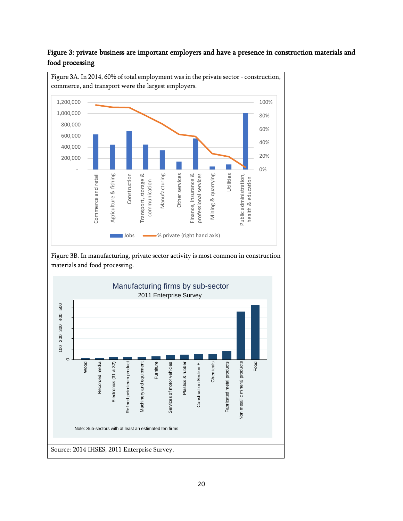

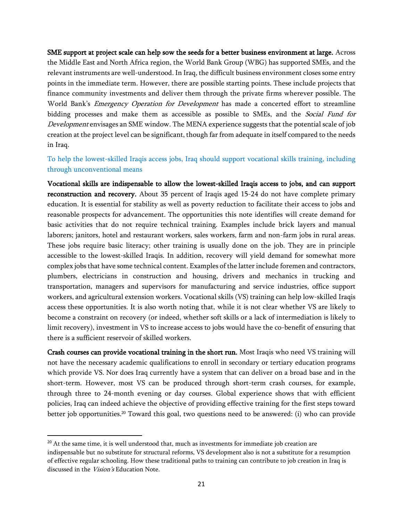SME support at project scale can help sow the seeds for a better business environment at large. Across the Middle East and North Africa region, the World Bank Group (WBG) has supported SMEs, and the relevant instruments are well-understood. In Iraq, the difficult business environment closes some entry points in the immediate term. However, there are possible starting points. These include projects that finance community investments and deliver them through the private firms wherever possible. The World Bank's *Emergency Operation for Development* has made a concerted effort to streamline bidding processes and make them as accessible as possible to SMEs, and the Social Fund for Development envisages an SME window. The MENA experience suggests that the potential scale of job creation at the project level can be significant, though far from adequate in itself compared to the needs in Iraq.

To help the lowest-skilled Iraqis access jobs, Iraq should support vocational skills training, including through unconventional means

Vocational skills are indispensable to allow the lowest-skilled Iraqis access to jobs, and can support reconstruction and recovery. About 35 percent of Iraqis aged 15-24 do not have complete primary education. It is essential for stability as well as poverty reduction to facilitate their access to jobs and reasonable prospects for advancement. The opportunities this note identifies will create demand for basic activities that do not require technical training. Examples include brick layers and manual laborers; janitors, hotel and restaurant workers, sales workers, farm and non-farm jobs in rural areas. These jobs require basic literacy; other training is usually done on the job. They are in principle accessible to the lowest-skilled Iraqis. In addition, recovery will yield demand for somewhat more complex jobs that have some technical content. Examples of the latter include foremen and contractors, plumbers, electricians in construction and housing, drivers and mechanics in trucking and transportation, managers and supervisors for manufacturing and service industries, office support workers, and agricultural extension workers. Vocational skills (VS) training can help low-skilled Iraqis access these opportunities. It is also worth noting that, while it is not clear whether VS are likely to become a constraint on recovery (or indeed, whether soft skills or a lack of intermediation is likely to limit recovery), investment in VS to increase access to jobs would have the co-benefit of ensuring that there is a sufficient reservoir of skilled workers.

Crash courses can provide vocational training in the short run. Most Iraqis who need VS training will not have the necessary academic qualifications to enroll in secondary or tertiary education programs which provide VS. Nor does Iraq currently have a system that can deliver on a broad base and in the short-term. However, most VS can be produced through short-term crash courses, for example, through three to 24-month evening or day courses. Global experience shows that with efficient policies, Iraq can indeed achieve the objective of providing effective training for the first steps toward better job opportunities. <sup>20</sup> Toward this goal, two questions need to be answered: (i) who can provide

 $\overline{a}$ 

 $20$  At the same time, it is well understood that, much as investments for immediate job creation are indispensable but no substitute for structural reforms, VS development also is not a substitute for a resumption of effective regular schooling. How these traditional paths to training can contribute to job creation in Iraq is discussed in the Vision's Education Note.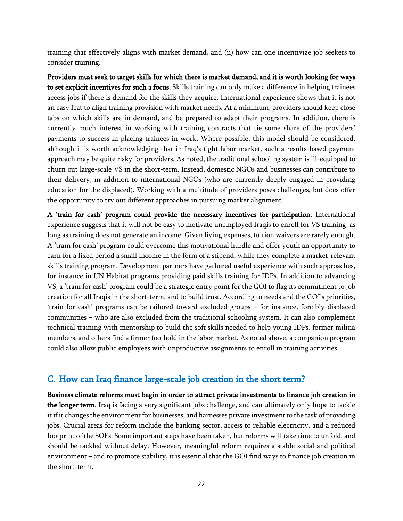training that effectively aligns with market demand, and (ii) how can one incentivize job seekers to consider training.

Providers must seek to target skills for which there is market demand, and it is worth looking for ways to set explicit incentives for such a focus. Skills training can only make a difference in helping trainees access jobs if there is demand for the skills they acquire. International experience shows that it is not an easy feat to align training provision with market needs. At a minimum, providers should keep close tabs on which skills are in demand, and be prepared to adapt their programs. In addition, there is currently much interest in working with training contracts that tie some share of the providers' payments to success in placing trainees in work. Where possible, this model should be considered, although it is worth acknowledging that in Iraq's tight labor market, such a results-based payment approach may be quite risky for providers. As noted, the traditional schooling system is ill-equipped to churn out large-scale VS in the short-term. Instead, domestic NGOs and businesses can contribute to their delivery, in addition to international NGOs (who are currently deeply engaged in providing education for the displaced). Working with a multitude of providers poses challenges, but does offer the opportunity to try out different approaches in pursuing market alignment.

A 'train for cash' program could provide the necessary incentives for participation. International experience suggests that it will not be easy to motivate unemployed Iraqis to enroll for VS training, as long as training does not generate an income. Given living expenses, tuition waivers are rarely enough. A 'train for cash' program could overcome this motivational hurdle and offer youth an opportunity to earn for a fixed period a small income in the form of a stipend, while they complete a market-relevant skills training program. Development partners have gathered useful experience with such approaches, for instance in UN Habitat programs providing paid skills training for IDPs. In addition to advancing VS, a 'train for cash' program could be a strategic entry point for the GOI to flag its commitment to job creation for all Iraqis in the short-term, and to build trust. According to needs and the GOI's priorities, 'train for cash' programs can be tailored toward excluded groups – for instance, forcibly displaced communities – who are also excluded from the traditional schooling system. It can also complement technical training with mentorship to build the soft skills needed to help young IDPs, former militia members, and others find a firmer foothold in the labor market. As noted above, a companion program could also allow public employees with unproductive assignments to enroll in training activities.

## C. How can Iraq finance large-scale job creation in the short term?

Business climate reforms must begin in order to attract private investments to finance job creation in the longer term. Iraq is facing a very significant jobs challenge, and can ultimately only hope to tackle it if it changes the environment for businesses, and harnesses private investment to the task of providing jobs. Crucial areas for reform include the banking sector, access to reliable electricity, and a reduced footprint of the SOEs. Some important steps have been taken, but reforms will take time to unfold, and should be tackled without delay. However, meaningful reform requires a stable social and political environment – and to promote stability, it is essential that the GOI find ways to finance job creation in the short-term.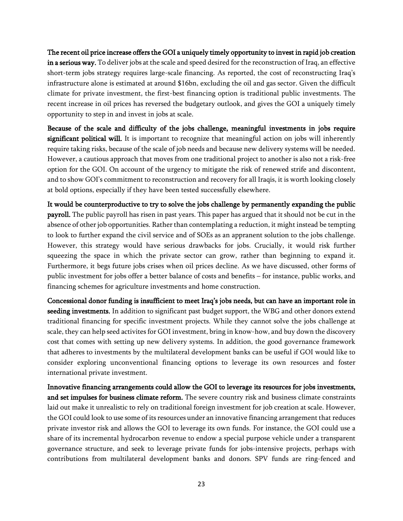The recent oil price increase offers the GOI a uniquely timely opportunity to invest in rapid job creation in a serious way. To deliver jobs at the scale and speed desired for the reconstruction of Iraq, an effective short-term jobs strategy requires large-scale financing. As reported, the cost of reconstructing Iraq's infrastructure alone is estimated at around \$16bn, excluding the oil and gas sector. Given the difficult climate for private investment, the first-best financing option is traditional public investments. The recent increase in oil prices has reversed the budgetary outlook, and gives the GOI a uniquely timely opportunity to step in and invest in jobs at scale.

Because of the scale and difficulty of the jobs challenge, meaningful investments in jobs require significant political will. It is important to recognize that meaningful action on jobs will inherently require taking risks, because of the scale of job needs and because new delivery systems will be needed. However, a cautious approach that moves from one traditional project to another is also not a risk-free option for the GOI. On account of the urgency to mitigate the risk of renewed strife and discontent, and to show GOI's commitment to reconstruction and recovery for all Iraqis, it is worth looking closely at bold options, especially if they have been tested successfully elsewhere.

It would be counterproductive to try to solve the jobs challenge by permanently expanding the public payroll. The public payroll has risen in past years. This paper has argued that it should not be cut in the absence of other job opportunities. Rather than contemplating a reduction, it might instead be tempting to look to further expand the civil service and of SOEs as an appranent solution to the jobs challenge. However, this strategy would have serious drawbacks for jobs. Crucially, it would risk further squeezing the space in which the private sector can grow, rather than beginning to expand it. Furthermore, it begs future jobs crises when oil prices decline. As we have discussed, other forms of public investment for jobs offer a better balance of costs and benefits – for instance, public works, and financing schemes for agriculture investments and home construction.

Concessional donor funding is insufficient to meet Iraq's jobs needs, but can have an important role in seeding investments. In addition to significant past budget support, the WBG and other donors extend traditional financing for specific investment projects. While they cannot solve the jobs challenge at scale, they can help seed activites for GOI investment, bring in know-how, and buy down the discovery cost that comes with setting up new delivery systems. In addition, the good governance framework that adheres to investments by the multilateral development banks can be useful if GOI would like to consider exploring unconventional financing options to leverage its own resources and foster international private investment.

Innovative financing arrangements could allow the GOI to leverage its resources for jobs investments, and set impulses for business climate reform. The severe country risk and business climate constraints laid out make it unrealistic to rely on traditional foreign investment for job creation at scale. However, the GOI could look to use some of its resources under an innovative financing arrangement that reduces private investor risk and allows the GOI to leverage its own funds. For instance, the GOI could use a share of its incremental hydrocarbon revenue to endow a special purpose vehicle under a transparent governance structure, and seek to leverage private funds for jobs-intensive projects, perhaps with contributions from multilateral development banks and donors. SPV funds are ring-fenced and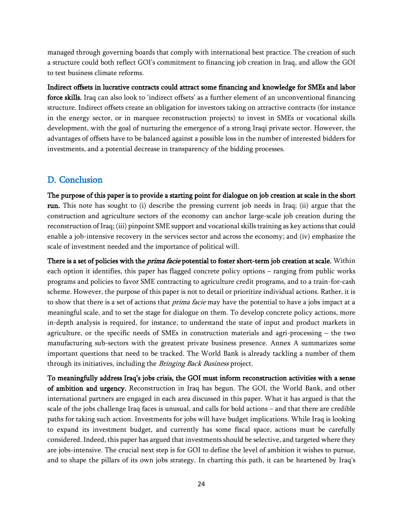managed through governing boards that comply with international best practice. The creation of such a structure could both reflect GOI's commitment to financing job creation in Iraq, and allow the GOI to test business climate reforms.

Indirect offsets in lucrative contracts could attract some financing and knowledge for SMEs and labor force skills. Iraq can also look to 'indirect offsets' as a further element of an unconventional financing structure. Indirect offsets create an obligation for investors taking on attractive contracts (for instance in the energy sector, or in marquee reconstruction projects) to invest in SMEs or vocational skills development, with the goal of nurturing the emergence of a strong Iraqi private sector. However, the advantages of offsets have to be balanced against a possible loss in the number of interested bidders for investments, and a potential decrease in transparency of the bidding processes.

## D. Conclusion

The purpose of this paper is to provide a starting point for dialogue on job creation at scale in the short run. This note has sought to (i) describe the pressing current job needs in Iraq; (ii) argue that the construction and agriculture sectors of the economy can anchor large-scale job creation during the reconstruction of Iraq; (iii) pinpoint SME support and vocational skills training as key actions that could enable a job-intensive recovery in the services sector and across the economy; and (iv) emphasize the scale of investment needed and the importance of political will.

There is a set of policies with the *prima facie* potential to foster short-term job creation at scale. Within each option it identifies, this paper has flagged concrete policy options – ranging from public works programs and policies to favor SME contracting to agriculture credit programs, and to a train-for-cash scheme. However, the purpose of this paper is not to detail or prioritize individual actions. Rather, it is to show that there is a set of actions that *prima facie* may have the potential to have a jobs impact at a meaningful scale, and to set the stage for dialogue on them. To develop concrete policy actions, more in-depth analysis is required, for instance, to understand the state of input and product markets in agriculture, or the specific needs of SMEs in construction materials and agri-processing – the two manufacturing sub-sectors with the greatest private business presence. Annex A summarizes some important questions that need to be tracked. The World Bank is already tackling a number of them through its initiatives, including the *Bringing Back Business* project.

To meaningfully address Iraq's jobs crisis, the GOI must inform reconstruction activities with a sense of ambition and urgency. Reconstruction in Iraq has begun. The GOI, the World Bank, and other international partners are engaged in each area discussed in this paper. What it has argued is that the scale of the jobs challenge Iraq faces is unusual, and calls for bold actions – and that there are credible paths for taking such action. Investments for jobs will have budget implications. While Iraq is looking to expand its investment budget, and currently has some fiscal space, actions must be carefully considered. Indeed, this paper has argued that investments should be selective, and targeted where they are jobs-intensive. The crucial next step is for GOI to define the level of ambition it wishes to pursue, and to shape the pillars of its own jobs strategy. In charting this path, it can be heartened by Iraq's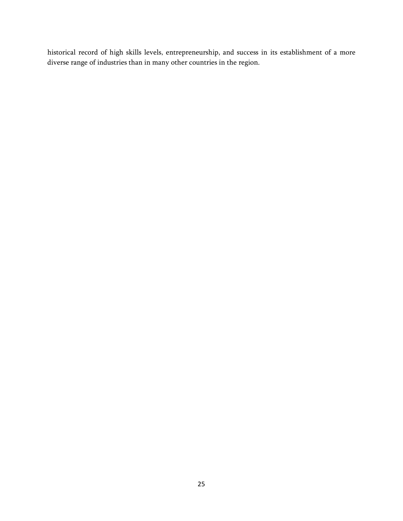historical record of high skills levels, entrepreneurship, and success in its establishment of a more diverse range of industries than in many other countries in the region.